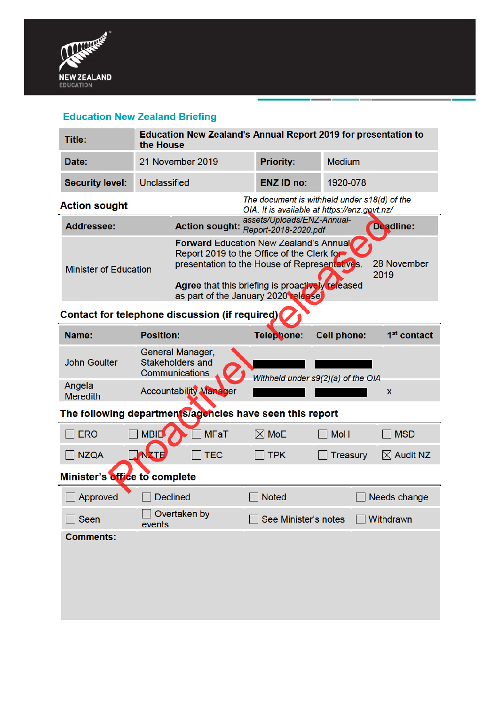

# **Education New Zealand Briefing**

| Title:                                                   | <b>Education New Zealand's Annual Report 2019 for presentation to</b><br>the House           |                                                                                                                                                                                                                                                                |                    |                         |  |
|----------------------------------------------------------|----------------------------------------------------------------------------------------------|----------------------------------------------------------------------------------------------------------------------------------------------------------------------------------------------------------------------------------------------------------------|--------------------|-------------------------|--|
| Date:                                                    | 21 November 2019                                                                             | <b>Priority:</b>                                                                                                                                                                                                                                               | <b>Medium</b>      |                         |  |
| <b>Security level:</b>                                   | Unclassified                                                                                 | <b>ENZ ID no:</b>                                                                                                                                                                                                                                              | 1920-078           |                         |  |
| <b>Action sought</b>                                     | The document is withheld under s18(d) of the<br>OIA. It is available at https://enz.govt.nz/ |                                                                                                                                                                                                                                                                |                    |                         |  |
| <b>Addressee:</b>                                        |                                                                                              | assets/Uploads/ENZ-Annual-<br>Action sought: Report-2018-2020.pdf                                                                                                                                                                                              |                    | Deadline:               |  |
| <b>Minister of Education</b>                             |                                                                                              | <b>Forward Education New Zealand's Annual</b><br>Report 2019 to the Office of the Clerk for<br>28 November<br>presentation to the House of Representatives.<br>2019<br>Agree that this briefing is proactively released<br>as part of the January 2020 release |                    |                         |  |
| Contact for telephone discussion (if required)           |                                                                                              |                                                                                                                                                                                                                                                                |                    |                         |  |
| Name:                                                    | <b>Position:</b>                                                                             | Telephone:                                                                                                                                                                                                                                                     | <b>Cell phone:</b> | 1 <sup>st</sup> contact |  |
| <b>John Goulter</b>                                      | General Manager,<br>Stakeholders and<br>Communications<br>Withheld under s9(2)(a) of the OIA |                                                                                                                                                                                                                                                                |                    |                         |  |
| Angela<br><b>Meredith</b>                                | <b>Accountability Manager</b>                                                                |                                                                                                                                                                                                                                                                |                    | X                       |  |
| The following departments/agencies have seen this report |                                                                                              |                                                                                                                                                                                                                                                                |                    |                         |  |
| $\sqcap$ ERO                                             | <b>MBIL</b><br><b>MFaT</b>                                                                   | $\boxtimes$ MoE                                                                                                                                                                                                                                                | <b>MoH</b>         | <b>MSD</b>              |  |
| NZQA                                                     | <b>TEC</b><br><b>NXTE</b>                                                                    | <b>TPK</b>                                                                                                                                                                                                                                                     | <b>Treasury</b>    | $\boxtimes$ Audit NZ    |  |
| Minister's office to complete                            |                                                                                              |                                                                                                                                                                                                                                                                |                    |                         |  |
| Approved                                                 | <b>Declined</b>                                                                              | <b>Noted</b>                                                                                                                                                                                                                                                   |                    | Needs change            |  |
| Seen                                                     | Overtaken by<br>events                                                                       | See Minister's notes<br>Withdrawn                                                                                                                                                                                                                              |                    |                         |  |
| <b>Comments:</b>                                         |                                                                                              |                                                                                                                                                                                                                                                                |                    |                         |  |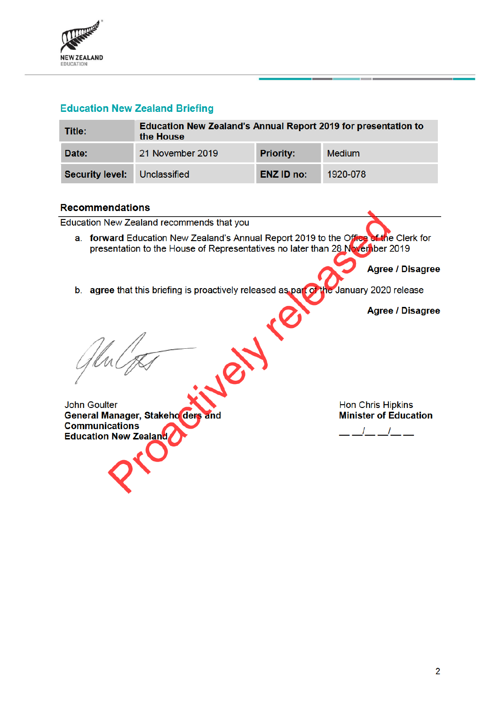

# **Education New Zealand Briefing**

| Title:                              | Education New Zealand's Annual Report 2019 for presentation to<br>the House |                   |               |  |  |
|-------------------------------------|-----------------------------------------------------------------------------|-------------------|---------------|--|--|
| Date:                               | 21 November 2019                                                            | <b>Priority:</b>  | <b>Medium</b> |  |  |
| <b>Security level:</b> Unclassified |                                                                             | <b>ENZ ID no:</b> | 1920-078      |  |  |

### **Recommendations**

Education New Zealand recommends that you

a. forward Education New Zealand's Annual Report 2019 to the Office of the Clerk for presentation to the House of Representatives no later than 28 November 2019

**Agree / Disagree** 

b. agree that this briefing is proactively released as part of the January 2020 release

AVE

**Agree / Disagree** 

**John Goulter** General Manager, Stakeho ders and **Communications Education New Zealand** 

**Hon Chris Hipkins Minister of Education** 

 $\mathcal{L}$  $\mathcal{L}$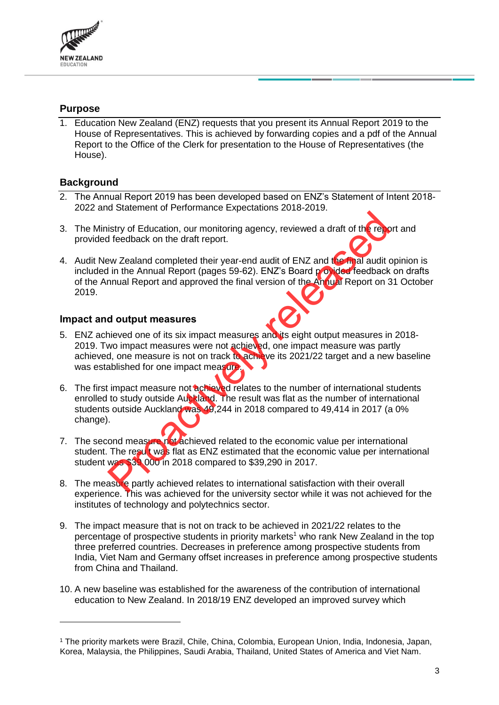

## **Purpose**

1. Education New Zealand (ENZ) requests that you present its Annual Report 2019 to the House of Representatives. This is achieved by forwarding copies and a pdf of the Annual Report to the Office of the Clerk for presentation to the House of Representatives (the House).

# **Background**

- 2. The Annual Report 2019 has been developed based on ENZ's Statement of Intent 2018- 2022 and Statement of Performance Expectations 2018-2019.
- 3. The Ministry of Education, our monitoring agency, reviewed a draft of the report and provided feedback on the draft report.
- 4. Audit New Zealand completed their year-end audit of ENZ and the final audit opinion is included in the Annual Report (pages 59-62). ENZ's Board p ovided feedback on drafts of the Annual Report and approved the final version of the Annual Report on 31 October 2019. example the drawing spency, reviewed a draft of the relationship of Education, our monitoring agency, reviewed a draft of the first dredback on the draft report.<br>
ENZ and the mual Report (pages 59-62). ENZ's Board protocol

### **Impact and output measures**

- 5. ENZ achieved one of its six impact measures and its eight output measures in 2018- 2019. Two impact measures were not achieved, one impact measure was partly achieved, one measure is not on track to achieve its 2021/22 target and a new baseline was established for one impact measure.
- 6. The first impact measure not achieved relates to the number of international students enrolled to study outside Auckland. The result was flat as the number of international students outside Auckland was 49,244 in 2018 compared to 49,414 in 2017 (a 0% change).
- 7. The second measure not achieved related to the economic value per international student. The resut was flat as ENZ estimated that the economic value per international student was \$39 000 in 2018 compared to \$39,290 in 2017.
- 8. The measure partly achieved relates to international satisfaction with their overall experience. This was achieved for the university sector while it was not achieved for the institutes of technology and polytechnics sector.
- 9. The impact measure that is not on track to be achieved in 2021/22 relates to the percentage of prospective students in priority markets<sup>1</sup> who rank New Zealand in the top three preferred countries. Decreases in preference among prospective students from India, Viet Nam and Germany offset increases in preference among prospective students from China and Thailand.
- 10. A new baseline was established for the awareness of the contribution of international education to New Zealand. In 2018/19 ENZ developed an improved survey which

<sup>1</sup> The priority markets were Brazil, Chile, China, Colombia, European Union, India, Indonesia, Japan, Korea, Malaysia, the Philippines, Saudi Arabia, Thailand, United States of America and Viet Nam.